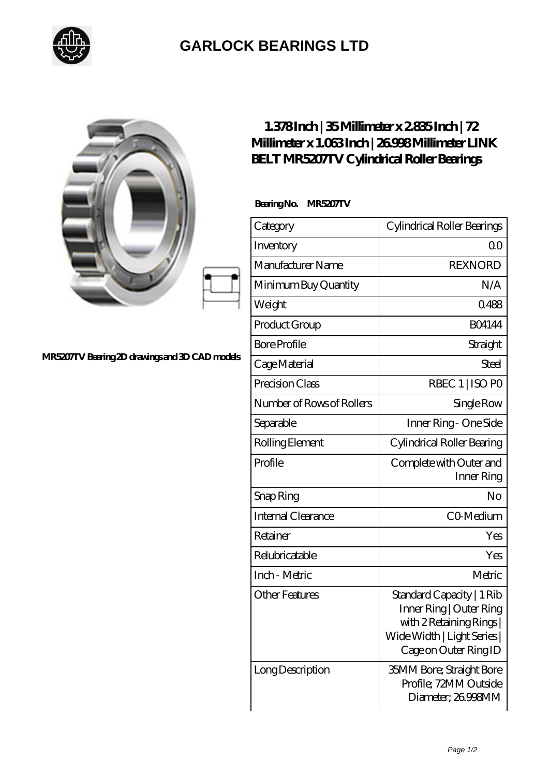

## **[GARLOCK BEARINGS LTD](https://m.letterstopriests.com)**

|                                                | $1.378$ Inch   35Millimeter x 2835 Inch   72<br>Millimeter x 1.063Inch   26998Millimeter LINK<br><b>BELT MR5207TV Cylindrical Roller Bearings</b> |                                                                                                                                        |
|------------------------------------------------|---------------------------------------------------------------------------------------------------------------------------------------------------|----------------------------------------------------------------------------------------------------------------------------------------|
| MR5207TV Bearing 2D drawings and 3D CAD models | BearingNo.<br>MR5207TV                                                                                                                            |                                                                                                                                        |
|                                                | Category                                                                                                                                          | Cylindrical Roller Bearings                                                                                                            |
|                                                | Inventory                                                                                                                                         | Q <sub>O</sub>                                                                                                                         |
|                                                | Manufacturer Name                                                                                                                                 | <b>REXNORD</b>                                                                                                                         |
|                                                | Minimum Buy Quantity                                                                                                                              | N/A                                                                                                                                    |
|                                                | Weight                                                                                                                                            | 0488                                                                                                                                   |
|                                                | Product Group                                                                                                                                     | <b>BO4144</b>                                                                                                                          |
|                                                | <b>Bore Profile</b>                                                                                                                               | Straight                                                                                                                               |
|                                                | Cage Material                                                                                                                                     | Steel                                                                                                                                  |
|                                                | Precision Class                                                                                                                                   | RBEC 1   ISO PO                                                                                                                        |
|                                                | Number of Rows of Rollers                                                                                                                         | Single Row                                                                                                                             |
|                                                | Separable                                                                                                                                         | Inner Ring - One Side                                                                                                                  |
|                                                | Rolling Element                                                                                                                                   | Cylindrical Roller Bearing                                                                                                             |
|                                                | Profile                                                                                                                                           | Complete with Outer and<br>Inner Ring                                                                                                  |
|                                                | Snap Ring                                                                                                                                         | No                                                                                                                                     |
|                                                | Internal Clearance                                                                                                                                | CO-Medium                                                                                                                              |
|                                                | Retainer                                                                                                                                          | Yes                                                                                                                                    |
|                                                | Relubricatable                                                                                                                                    | Yes                                                                                                                                    |
|                                                | Inch - Metric                                                                                                                                     | Metric                                                                                                                                 |
|                                                | <b>Other Features</b>                                                                                                                             | Standard Capacity   1 Rib<br>Inner Ring   Outer Ring<br>with 2 Retaining Rings<br>Wide Width   Light Series  <br>Cage on Outer Ring ID |
|                                                | Long Description                                                                                                                                  | <b>35MM Bore; Straight Bore</b><br>Profile; 72MM Outside<br>Diameter; 26998MM                                                          |